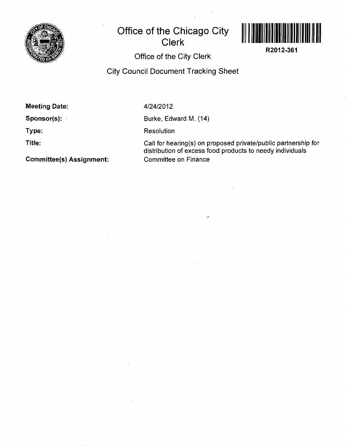

## **Office of the Chicago City Clerk**



**R2012-361** 

Office of the City Clerk

City Council Document Tracking Sheet

Meeting Date:

**4/24/2012** 

Sponsor(s):

Type:

Title:

Burke, Edward M. (14)

**Resolution** 

Call for hearing(s) on proposed private/public partnership for distribution of excess food products to needy individuals Committee on Finance

Committee(s) Assignment: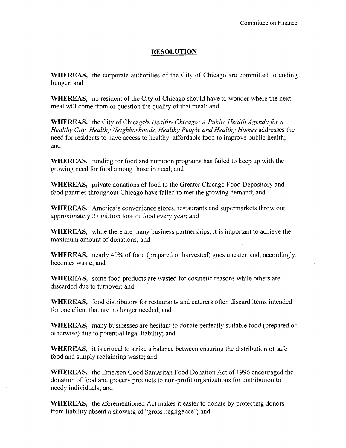## **RESOLUTION**

WHEREAS, the corporate authorities of the City of Chicago are committed to ending hunger; and

WHEREAS, no resident of the City of Chicago should have to wonder where the next meal will come from or question the quality of that meal; and

WHEREAS, the City of Chicago's Healthy Chicago: A Public Health Agenda for a Healthy City, Healthy Neighborhoods, Healthy People and Healthy Homes addresses the need for residents to have access to healthy, affordable food to improve public health; and

WHEREAS, funding for food and nutrition programs has failed to keep up with the growing need for food among those in need; and

WHEREAS, private donations of food to the Greater Chicago Food Depository and food pantries throughout Chicago have failed to met the growing demand; and

WHEREAS, America's convenience stores, restaurants and supermarkets throw out approximately 27 million tons of food every year; and

WHEREAS, while there are many business partnerships, it is important to achieve the maximum amount of donations; and

WHEREAS, nearly 40% of food (prepared or harvested) goes uneaten and, accordingly, becomes waste; and

WHEREAS, some food products are wasted for cosmetic reasons while others are discarded due to turnover; and

WHEREAS, food distributors for restaurants and caterers often discard items intended for one client that are no longer needed; and

WHEREAS, many businesses are hesitant to donate perfectly suitable food (prepared or otherwise) due to potential legal liability; and

WHEREAS, it is critical to strike a balance between ensuring the distribution of safe food and simply reclaiming waste; and

WHEREAS, the Emerson Good Samaritan Food Donation Act of 1996 encouraged the donation of food and grocery products to non-profit organizations for distribution to needy individuals; and

WHEREAS, the aforementioned Act makes it easier to donate by protecting donors from liability absent a showing of "gross negligence"; and